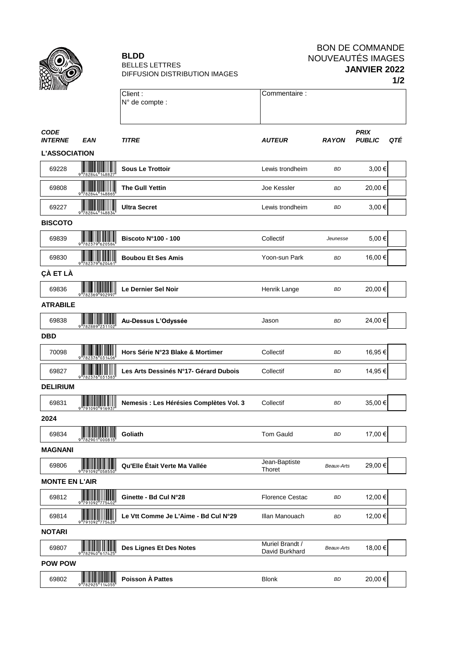

## **BLDD** BELLES LETTRES DIFFUSION DISTRIBUTION IMAGES

## BON DE COMMANDE NOUVEAUTÉS IMAGES **JANVIER 2022 1/2**

| <b>IFECTIVITY</b>             |                                         |                                         |                                   |              |                              |     |
|-------------------------------|-----------------------------------------|-----------------------------------------|-----------------------------------|--------------|------------------------------|-----|
|                               |                                         | Client:<br>N° de compte :               | Commentaire:                      |              |                              |     |
| <b>CODE</b><br><b>INTERNE</b> | EAN                                     | <b>TITRE</b>                            | <b>AUTEUR</b>                     | <b>RAYON</b> | <b>PRIX</b><br><b>PUBLIC</b> | QTÉ |
| <b>L'ASSOCIATION</b>          |                                         |                                         |                                   |              |                              |     |
| 69228                         | <b>The Communist Communist Property</b> | <b>Sous Le Trottoir</b>                 | Lewis trondheim                   | <b>BD</b>    | 3,00€                        |     |
| 69808                         |                                         | <b>The Gull Yettin</b>                  | Joe Kessler                       | <b>BD</b>    | 20,00 €                      |     |
| 69227                         |                                         | <b>Ultra Secret</b>                     | Lewis trondheim                   | <b>BD</b>    | 3,00 €                       |     |
| <b>BISCOTO</b>                |                                         |                                         |                                   |              |                              |     |
| 69839                         | Ш<br><b>IIIII</b> IIIIIIII              | <b>Biscoto N°100 - 100</b>              | Collectif                         | Jeunesse     | 5,00€                        |     |
| 69830                         |                                         | <b>Boubou Et Ses Amis</b>               | Yoon-sun Park                     | <b>BD</b>    | 16,00 €                      |     |
| ÇÀ ET LÀ                      |                                         |                                         |                                   |              |                              |     |
| 69836                         |                                         | Le Dernier Sel Noir                     | Henrik Lange                      | <b>BD</b>    | 20,00 €                      |     |
| <b>ATRABILE</b>               |                                         |                                         |                                   |              |                              |     |
| 69838                         | <b>THE REAL PROPERTY</b>                | Au-Dessus L'Odyssée                     | Jason                             | <b>BD</b>    | 24,00 €                      |     |
| <b>DBD</b>                    |                                         |                                         |                                   |              |                              |     |
| 70098                         |                                         | Hors Série N°23 Blake & Mortimer        | Collectif                         | <b>BD</b>    | 16,95€                       |     |
| 69827                         |                                         | Les Arts Dessinés N°17- Gérard Dubois   | Collectif                         | <b>BD</b>    | 14,95€                       |     |
| <b>DELIRIUM</b>               |                                         |                                         |                                   |              |                              |     |
| 69831                         | <u>HIII III IIII III III</u>            | Nemesis : Les Hérésies Complètes Vol. 3 | Collectif                         | <b>BD</b>    | 35,00€                       |     |
| 2024                          |                                         |                                         |                                   |              |                              |     |
| 69834                         | 9782901000815                           | Goliath                                 | <b>Tom Gauld</b>                  | BD           | 17,00 €                      |     |
| <b>MAGNANI</b>                |                                         |                                         |                                   |              |                              |     |
| 69806                         | <u> III martin sa</u>                   | Qu'Elle Était Verte Ma Vallée           | Jean-Baptiste<br>Thoret           | Beaux-Arts   | 29,00 €                      |     |
| <b>MONTE EN L'AIR</b>         |                                         |                                         |                                   |              |                              |     |
| 69812                         | $9$ <sup>1791092</sup> 775402           | Ginette - Bd Cul N°28                   | <b>Florence Cestac</b>            | <b>BD</b>    | 12,00 €                      |     |
| 69814                         |                                         | Le Vtt Comme Je L'Aime - Bd Cul N°29    | Illan Manouach                    | <b>BD</b>    | 12,00 €                      |     |
| <b>NOTARI</b>                 |                                         |                                         |                                   |              |                              |     |
| 69807                         | <u> HIII II</u>                         | Des Lignes Et Des Notes                 | Muriel Brandt /<br>David Burkhard | Beaux-Arts   | 18,00€                       |     |
| <b>POW POW</b>                |                                         |                                         |                                   |              |                              |     |
| 69802                         | <b>The Communist Communist Property</b> | Poisson À Pattes                        | <b>Blonk</b>                      | <b>BD</b>    | 20,00 €                      |     |